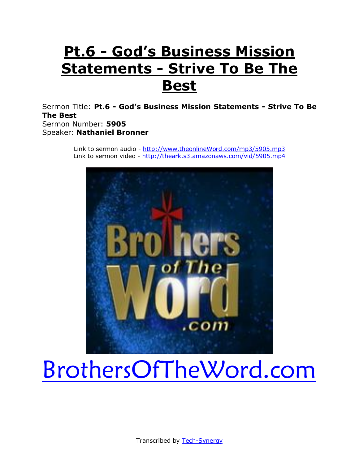# **Pt.6 - God's Business Mission Statements - Strive To Be The Best**

Sermon Title: **Pt.6 - God's Business Mission Statements - Strive To Be The Best** Sermon Number: **5905** Speaker: **Nathaniel Bronner**

> Link to sermon audio - [http://www.theonlineWord.com/mp3/5905.mp3](http://www.theonlineword.com/mp3/5897.mp3) Link to sermon video - [http://theark.s3.amazonaws.com/vid/5905.mp4](http://theark.s3.amazonaws.com/vid/5897.mp4)



# [BrothersOfTheWord.com](http://www.brothersoftheword.com/)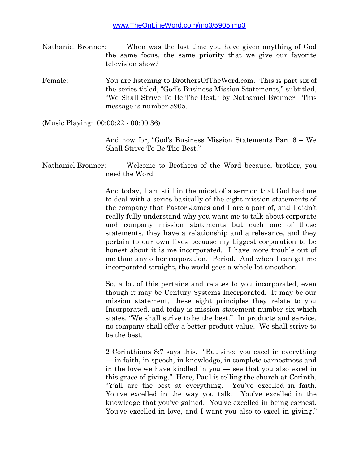- Nathaniel Bronner: When was the last time you have given anything of God the same focus, the same priority that we give our favorite television show?
- Female: You are listening to BrothersOfTheWord.com. This is part six of the series titled, "God's Business Mission Statements," subtitled, "We Shall Strive To Be The Best," by Nathaniel Bronner. This message is number 5905.

(Music Playing: 00:00:22 - 00:00:36)

And now for, "God's Business Mission Statements Part 6 – We Shall Strive To Be The Best."

Nathaniel Bronner: Welcome to Brothers of the Word because, brother, you need the Word.

> And today, I am still in the midst of a sermon that God had me to deal with a series basically of the eight mission statements of the company that Pastor James and I are a part of, and I didn't really fully understand why you want me to talk about corporate and company mission statements but each one of those statements, they have a relationship and a relevance, and they pertain to our own lives because my biggest corporation to be honest about it is me incorporated. I have more trouble out of me than any other corporation. Period. And when I can get me incorporated straight, the world goes a whole lot smoother.

> So, a lot of this pertains and relates to you incorporated, even though it may be Century Systems Incorporated. It may be our mission statement, these eight principles they relate to you Incorporated, and today is mission statement number six which states, "We shall strive to be the best." In products and service, no company shall offer a better product value. We shall strive to be the best.

> 2 Corinthians 8:7 says this. "But since you excel in everything — in faith, in speech, in knowledge, in complete earnestness and in the love we have kindled in you — see that you also excel in this grace of giving." Here, Paul is telling the church at Corinth, "Y'all are the best at everything. You've excelled in faith. You've excelled in the way you talk. You've excelled in the knowledge that you've gained. You've excelled in being earnest. You've excelled in love, and I want you also to excel in giving."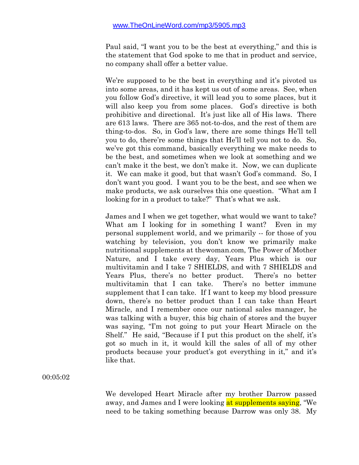Paul said, "I want you to be the best at everything," and this is the statement that God spoke to me that in product and service, no company shall offer a better value.

We're supposed to be the best in everything and it's pivoted us into some areas, and it has kept us out of some areas. See, when you follow God's directive, it will lead you to some places, but it will also keep you from some places. God's directive is both prohibitive and directional. It's just like all of His laws. There are 613 laws. There are 365 not-to-dos, and the rest of them are thing-to-dos. So, in God's law, there are some things He'll tell you to do, there're some things that He'll tell you not to do. So, we've got this command, basically everything we make needs to be the best, and sometimes when we look at something and we can't make it the best, we don't make it. Now, we can duplicate it. We can make it good, but that wasn't God's command. So, I don't want you good. I want you to be the best, and see when we make products, we ask ourselves this one question. "What am I looking for in a product to take?" That's what we ask.

James and I when we get together, what would we want to take? What am I looking for in something I want? Even in my personal supplement world, and we primarily -- for those of you watching by television, you don't know we primarily make nutritional supplements at thewoman.com, The Power of Mother Nature, and I take every day, Years Plus which is our multivitamin and I take 7 SHIELDS, and with 7 SHIELDS and Years Plus, there's no better product. There's no better multivitamin that I can take. There's no better immune supplement that I can take. If I want to keep my blood pressure down, there's no better product than I can take than Heart Miracle, and I remember once our national sales manager, he was talking with a buyer, this big chain of stores and the buyer was saying, "I'm not going to put your Heart Miracle on the Shelf." He said, "Because if I put this product on the shelf, it's got so much in it, it would kill the sales of all of my other products because your product's got everything in it," and it's like that.

00:05:02

We developed Heart Miracle after my brother Darrow passed away, and James and I were looking at supplements saying, "We need to be taking something because Darrow was only 38. My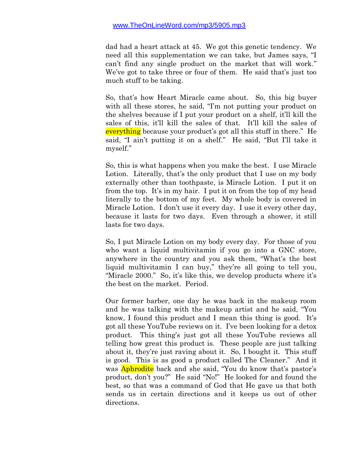dad had a heart attack at 45. We got this genetic tendency. We need all this supplementation we can take, but James says, "I can't find any single product on the market that will work." We've got to take three or four of them. He said that's just too much stuff to be taking.

So, that's how Heart Miracle came about. So, this big buyer with all these stores, he said, "I'm not putting your product on the shelves because if I put your product on a shelf, it'll kill the sales of this, it'll kill the sales of that. It'll kill the sales of everything because your product's got all this stuff in there." He said, "I ain't putting it on a shelf." He said, "But I'll take it myself."

So, this is what happens when you make the best. I use Miracle Lotion. Literally, that's the only product that I use on my body externally other than toothpaste, is Miracle Lotion. I put it on from the top. It's in my hair. I put it on from the top of my head literally to the bottom of my feet. My whole body is covered in Miracle Lotion. I don't use it every day. I use it every other day, because it lasts for two days. Even through a shower, it still lasts for two days.

So, I put Miracle Lotion on my body every day. For those of you who want a liquid multivitamin if you go into a GNC store, anywhere in the country and you ask them, "What's the best liquid multivitamin I can buy," they're all going to tell you, "Miracle 2000." So, it's like this, we develop products where it's the best on the market. Period.

Our former barber, one day he was back in the makeup room and he was talking with the makeup artist and he said, "You know, I found this product and I mean this thing is good. It's got all these YouTube reviews on it. I've been looking for a detox product. This thing's just got all these YouTube reviews all telling how great this product is. These people are just talking about it, they're just raving about it. So, I bought it. This stuff is good. This is as good a product called The Cleaner." And it was **Aphrodite** back and she said, "You do know that's pastor's product, don't you?" He said "No!" He looked for and found the best, so that was a command of God that He gave us that both sends us in certain directions and it keeps us out of other directions.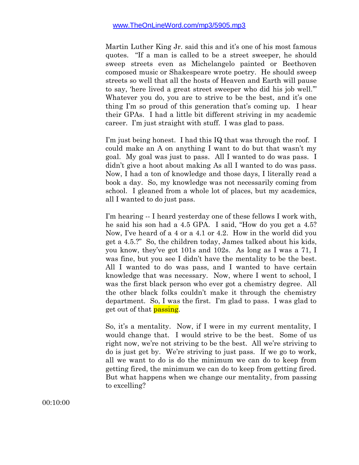Martin Luther King Jr. said this and it's one of his most famous quotes. "If a man is called to be a street sweeper, he should sweep streets even as Michelangelo painted or Beethoven composed music or Shakespeare wrote poetry. He should sweep streets so well that all the hosts of Heaven and Earth will pause to say, 'here lived a great street sweeper who did his job well.'" Whatever you do, you are to strive to be the best, and it's one thing I'm so proud of this generation that's coming up. I hear their GPAs. I had a little bit different striving in my academic career. I'm just straight with stuff. I was glad to pass.

I'm just being honest. I had this IQ that was through the roof. I could make an A on anything I want to do but that wasn't my goal. My goal was just to pass. All I wanted to do was pass. I didn't give a hoot about making As all I wanted to do was pass. Now, I had a ton of knowledge and those days, I literally read a book a day. So, my knowledge was not necessarily coming from school. I gleaned from a whole lot of places, but my academics, all I wanted to do just pass.

I'm hearing -- I heard yesterday one of these fellows I work with, he said his son had a 4.5 GPA. I said, "How do you get a 4.5? Now, I've heard of a 4 or a 4.1 or 4.2. How in the world did you get a 4.5.?" So, the children today, James talked about his kids, you know, they've got 101s and 102s. As long as I was a 71, I was fine, but you see I didn't have the mentality to be the best. All I wanted to do was pass, and I wanted to have certain knowledge that was necessary. Now, where I went to school, I was the first black person who ever got a chemistry degree. All the other black folks couldn't make it through the chemistry department. So, I was the first. I'm glad to pass. I was glad to get out of that **passing**.

So, it's a mentality. Now, if I were in my current mentality, I would change that. I would strive to be the best. Some of us right now, we're not striving to be the best. All we're striving to do is just get by. We're striving to just pass. If we go to work, all we want to do is do the minimum we can do to keep from getting fired, the minimum we can do to keep from getting fired. But what happens when we change our mentality, from passing to excelling?

00:10:00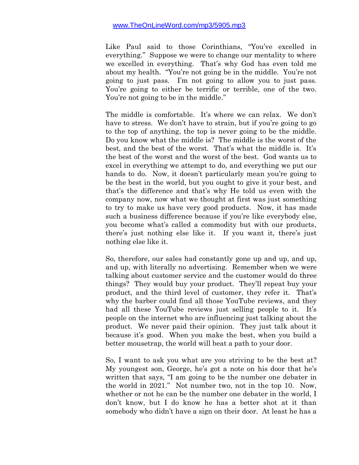Like Paul said to those Corinthians, "You've excelled in everything." Suppose we were to change our mentality to where we excelled in everything. That's why God has even told me about my health. "You're not going be in the middle. You're not going to just pass. I'm not going to allow you to just pass. You're going to either be terrific or terrible, one of the two. You're not going to be in the middle."

The middle is comfortable. It's where we can relax. We don't have to stress. We don't have to strain, but if you're going to go to the top of anything, the top is never going to be the middle. Do you know what the middle is? The middle is the worst of the best, and the best of the worst. That's what the middle is. It's the best of the worst and the worst of the best. God wants us to excel in everything we attempt to do, and everything we put our hands to do. Now, it doesn't particularly mean you're going to be the best in the world, but you ought to give it your best, and that's the difference and that's why He told us even with the company now, now what we thought at first was just something to try to make us have very good products. Now, it has made such a business difference because if you're like everybody else, you become what's called a commodity but with our products, there's just nothing else like it. If you want it, there's just nothing else like it.

So, therefore, our sales had constantly gone up and up, and up, and up, with literally no advertising. Remember when we were talking about customer service and the customer would do three things? They would buy your product. They'll repeat buy your product, and the third level of customer, they refer it. That's why the barber could find all those YouTube reviews, and they had all these YouTube reviews just selling people to it. It's people on the internet who are influencing just talking about the product. We never paid their opinion. They just talk about it because it's good. When you make the best, when you build a better mousetrap, the world will beat a path to your door.

So, I want to ask you what are you striving to be the best at? My youngest son, George, he's got a note on his door that he's written that says, "I am going to be the number one debater in the world in 2021." Not number two, not in the top 10. Now, whether or not he can be the number one debater in the world, I don't know, but I do know he has a better shot at it than somebody who didn't have a sign on their door. At least he has a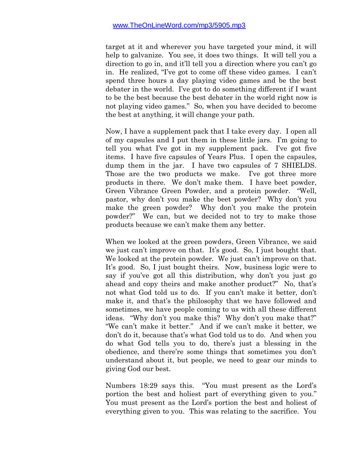target at it and wherever you have targeted your mind, it will help to galvanize. You see, it does two things. It will tell you a direction to go in, and it'll tell you a direction where you can't go in. He realized, "I've got to come off these video games. I can't spend three hours a day playing video games and be the best debater in the world. I've got to do something different if I want to be the best because the best debater in the world right now is not playing video games." So, when you have decided to become the best at anything, it will change your path.

Now, I have a supplement pack that I take every day. I open all of my capsules and I put them in these little jars. I'm going to tell you what I've got in my supplement pack. I've got five items. I have five capsules of Years Plus. I open the capsules, dump them in the jar. I have two capsules of 7 SHIELDS. Those are the two products we make. I've got three more products in there. We don't make them. I have beet powder, Green Vibrance Green Powder, and a protein powder. "Well, pastor, why don't you make the beet powder? Why don't you make the green powder? Why don't you make the protein powder?" We can, but we decided not to try to make those products because we can't make them any better.

When we looked at the green powders, Green Vibrance, we said we just can't improve on that. It's good. So, I just bought that. We looked at the protein powder. We just can't improve on that. It's good. So, I just bought theirs. Now, business logic were to say if you've got all this distribution, why don't you just go ahead and copy theirs and make another product?" No, that's not what God told us to do. If you can't make it better, don't make it, and that's the philosophy that we have followed and sometimes, we have people coming to us with all these different ideas. "Why don't you make this? Why don't you make that?" "We can't make it better." And if we can't make it better, we don't do it, because that's what God told us to do. And when you do what God tells you to do, there's just a blessing in the obedience, and there're some things that sometimes you don't understand about it, but people, we need to gear our minds to giving God our best.

Numbers 18:29 says this. "You must present as the Lord's portion the best and holiest part of everything given to you." You must present as the Lord's portion the best and holiest of everything given to you. This was relating to the sacrifice. You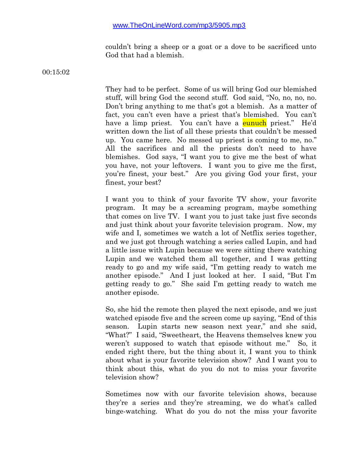couldn't bring a sheep or a goat or a dove to be sacrificed unto God that had a blemish.

00:15:02

They had to be perfect. Some of us will bring God our blemished stuff, will bring God the second stuff. God said, "No, no, no, no. Don't bring anything to me that's got a blemish. As a matter of fact, you can't even have a priest that's blemished. You can't have a limp priest. You can't have a **eunuch** priest." He'd written down the list of all these priests that couldn't be messed up. You came here. No messed up priest is coming to me, no." All the sacrifices and all the priests don't need to have blemishes. God says, "I want you to give me the best of what you have, not your leftovers. I want you to give me the first, you're finest, your best." Are you giving God your first, your finest, your best?

I want you to think of your favorite TV show, your favorite program. It may be a screaming program, maybe something that comes on live TV. I want you to just take just five seconds and just think about your favorite television program. Now, my wife and I, sometimes we watch a lot of Netflix series together, and we just got through watching a series called Lupin, and had a little issue with Lupin because we were sitting there watching Lupin and we watched them all together, and I was getting ready to go and my wife said, "I'm getting ready to watch me another episode." And I just looked at her. I said, "But I'm getting ready to go." She said I'm getting ready to watch me another episode.

So, she hid the remote then played the next episode, and we just watched episode five and the screen come up saying, "End of this season. Lupin starts new season next year," and she said, "What?" I said, "Sweetheart, the Heavens themselves knew you weren't supposed to watch that episode without me." So, it ended right there, but the thing about it, I want you to think about what is your favorite television show? And I want you to think about this, what do you do not to miss your favorite television show?

Sometimes now with our favorite television shows, because they're a series and they're streaming, we do what's called binge-watching. What do you do not the miss your favorite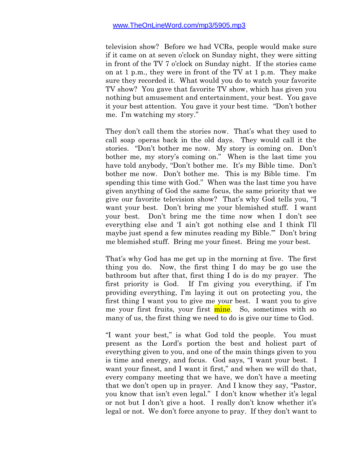television show? Before we had VCRs, people would make sure if it came on at seven o'clock on Sunday night, they were sitting in front of the TV 7 o'clock on Sunday night. If the stories came on at 1 p.m., they were in front of the TV at 1 p.m. They make sure they recorded it. What would you do to watch your favorite TV show? You gave that favorite TV show, which has given you nothing but amusement and entertainment, your best. You gave it your best attention. You gave it your best time. "Don't bother me. I'm watching my story."

They don't call them the stories now. That's what they used to call soap operas back in the old days. They would call it the stories. "Don't bother me now. My story is coming on. Don't bother me, my story's coming on." When is the last time you have told anybody, "Don't bother me. It's my Bible time. Don't bother me now. Don't bother me. This is my Bible time. I'm spending this time with God." When was the last time you have given anything of God the same focus, the same priority that we give our favorite television show? That's why God tells you, "I want your best. Don't bring me your blemished stuff. I want your best. Don't bring me the time now when I don't see everything else and 'I ain't got nothing else and I think I'll maybe just spend a few minutes reading my Bible.'" Don't bring me blemished stuff. Bring me your finest. Bring me your best.

That's why God has me get up in the morning at five. The first thing you do. Now, the first thing I do may be go use the bathroom but after that, first thing I do is do my prayer. The first priority is God. If I'm giving you everything, if I'm providing everything, I'm laying it out on protecting you, the first thing I want you to give me your best. I want you to give me your first fruits, your first mine. So, sometimes with so many of us, the first thing we need to do is give our time to God.

"I want your best," is what God told the people. You must present as the Lord's portion the best and holiest part of everything given to you, and one of the main things given to you is time and energy, and focus. God says, "I want your best. I want your finest, and I want it first," and when we will do that, every company meeting that we have, we don't have a meeting that we don't open up in prayer. And I know they say, "Pastor, you know that isn't even legal." I don't know whether it's legal or not but I don't give a hoot. I really don't know whether it's legal or not. We don't force anyone to pray. If they don't want to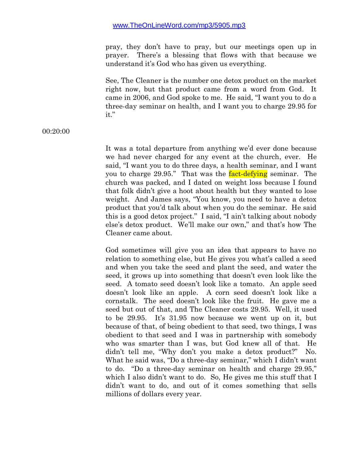pray, they don't have to pray, but our meetings open up in prayer. There's a blessing that flows with that because we understand it's God who has given us everything.

See, The Cleaner is the number one detox product on the market right now, but that product came from a word from God. It came in 2006, and God spoke to me. He said, "I want you to do a three-day seminar on health, and I want you to charge 29.95 for it."

#### 00:20:00

It was a total departure from anything we'd ever done because we had never charged for any event at the church, ever. He said, "I want you to do three days, a health seminar, and I want you to charge 29.95." That was the **fact-defying** seminar. The church was packed, and I dated on weight loss because I found that folk didn't give a hoot about health but they wanted to lose weight. And James says, "You know, you need to have a detox product that you'd talk about when you do the seminar. He said this is a good detox project." I said, "I ain't talking about nobody else's detox product. We'll make our own," and that's how The Cleaner came about.

God sometimes will give you an idea that appears to have no relation to something else, but He gives you what's called a seed and when you take the seed and plant the seed, and water the seed, it grows up into something that doesn't even look like the seed. A tomato seed doesn't look like a tomato. An apple seed doesn't look like an apple. A corn seed doesn't look like a cornstalk. The seed doesn't look like the fruit. He gave me a seed but out of that, and The Cleaner costs 29.95. Well, it used to be 29.95. It's 31.95 now because we went up on it, but because of that, of being obedient to that seed, two things, I was obedient to that seed and I was in partnership with somebody who was smarter than I was, but God knew all of that. He didn't tell me, "Why don't you make a detox product?" What he said was, "Do a three-day seminar," which I didn't want to do. "Do a three-day seminar on health and charge 29.95," which I also didn't want to do. So, He gives me this stuff that I didn't want to do, and out of it comes something that sells millions of dollars every year.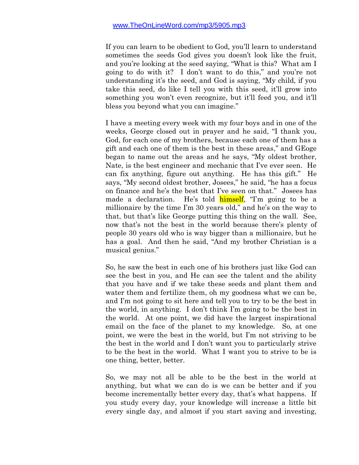If you can learn to be obedient to God, you'll learn to understand sometimes the seeds God gives you doesn't look like the fruit, and you're looking at the seed saying, "What is this? What am I going to do with it? I don't want to do this," and you're not understanding it's the seed, and God is saying, "My child, if you take this seed, do like I tell you with this seed, it'll grow into something you won't even recognize, but it'll feed you, and it'll bless you beyond what you can imagine."

I have a meeting every week with my four boys and in one of the weeks, George closed out in prayer and he said, "I thank you, God, for each one of my brothers, because each one of them has a gift and each one of them is the best in these areas," and GEoge began to name out the areas and he says, "My oldest brother, Nate, is the best engineer and mechanic that I've ever seen. He can fix anything, figure out anything. He has this gift." He says, "My second oldest brother, Josees," he said, "he has a focus on finance and he's the best that I've seen on that." Josees has made a declaration. He's told **himself**, "I'm going to be a millionaire by the time I'm 30 years old," and he's on the way to that, but that's like George putting this thing on the wall. See, now that's not the best in the world because there's plenty of people 30 years old who is way bigger than a millionaire, but he has a goal. And then he said, "And my brother Christian is a musical genius."

So, he saw the best in each one of his brothers just like God can see the best in you, and He can see the talent and the ability that you have and if we take these seeds and plant them and water them and fertilize them, oh my goodness what we can be, and I'm not going to sit here and tell you to try to be the best in the world, in anything. I don't think I'm going to be the best in the world. At one point, we did have the largest inspirational email on the face of the planet to my knowledge. So, at one point, we were the best in the world, but I'm not striving to be the best in the world and I don't want you to particularly strive to be the best in the world. What I want you to strive to be is one thing, better, better.

So, we may not all be able to be the best in the world at anything, but what we can do is we can be better and if you become incrementally better every day, that's what happens. If you study every day, your knowledge will increase a little bit every single day, and almost if you start saving and investing,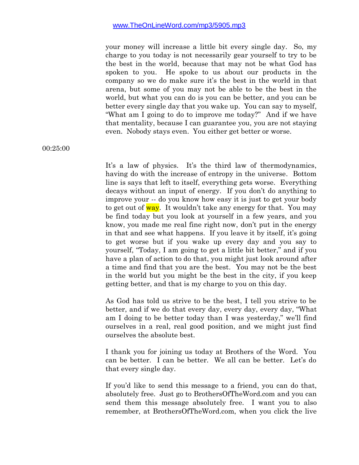your money will increase a little bit every single day. So, my charge to you today is not necessarily gear yourself to try to be the best in the world, because that may not be what God has spoken to you. He spoke to us about our products in the company so we do make sure it's the best in the world in that arena, but some of you may not be able to be the best in the world, but what you can do is you can be better, and you can be better every single day that you wake up. You can say to myself, "What am I going to do to improve me today?" And if we have that mentality, because I can guarantee you, you are not staying even. Nobody stays even. You either get better or worse.

00:25:00

It's a law of physics. It's the third law of thermodynamics, having do with the increase of entropy in the universe. Bottom line is says that left to itself, everything gets worse. Everything decays without an input of energy. If you don't do anything to improve your -- do you know how easy it is just to get your body to get out of way. It wouldn't take any energy for that. You may be find today but you look at yourself in a few years, and you know, you made me real fine right now, don't put in the energy in that and see what happens. If you leave it by itself, it's going to get worse but if you wake up every day and you say to yourself, "Today, I am going to get a little bit better," and if you have a plan of action to do that, you might just look around after a time and find that you are the best. You may not be the best in the world but you might be the best in the city, if you keep getting better, and that is my charge to you on this day.

As God has told us strive to be the best, I tell you strive to be better, and if we do that every day, every day, every day, "What am I doing to be better today than I was yesterday," we'll find ourselves in a real, real good position, and we might just find ourselves the absolute best.

I thank you for joining us today at Brothers of the Word. You can be better. I can be better. We all can be better. Let's do that every single day.

If you'd like to send this message to a friend, you can do that, absolutely free. Just go to BrothersOfTheWord.com and you can send them this message absolutely free. I want you to also remember, at BrothersOfTheWord.com, when you click the live